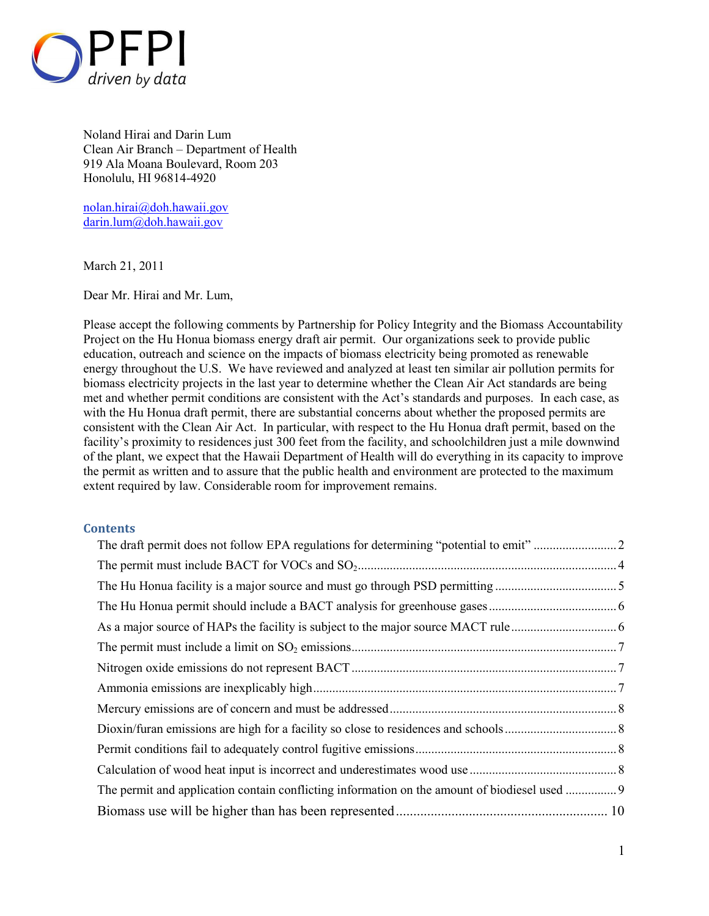

Noland Hirai and Darin Lum Clean Air Branch – Department of Health 919 Ala Moana Boulevard, Room 203 Honolulu, HI 96814-4920

nolan.hirai@doh.hawaii.gov darin.lum@doh.hawaii.gov

March 21, 2011

Dear Mr. Hirai and Mr. Lum,

Please accept the following comments by Partnership for Policy Integrity and the Biomass Accountability Project on the Hu Honua biomass energy draft air permit. Our organizations seek to provide public education, outreach and science on the impacts of biomass electricity being promoted as renewable energy throughout the U.S. We have reviewed and analyzed at least ten similar air pollution permits for biomass electricity projects in the last year to determine whether the Clean Air Act standards are being met and whether permit conditions are consistent with the Act's standards and purposes. In each case, as with the Hu Honua draft permit, there are substantial concerns about whether the proposed permits are consistent with the Clean Air Act. In particular, with respect to the Hu Honua draft permit, based on the facility's proximity to residences just 300 feet from the facility, and schoolchildren just a mile downwind of the plant, we expect that the Hawaii Department of Health will do everything in its capacity to improve the permit as written and to assure that the public health and environment are protected to the maximum extent required by law. Considerable room for improvement remains.

# **Contents**

| The permit and application contain conflicting information on the amount of biodiesel used  9 |  |
|-----------------------------------------------------------------------------------------------|--|
|                                                                                               |  |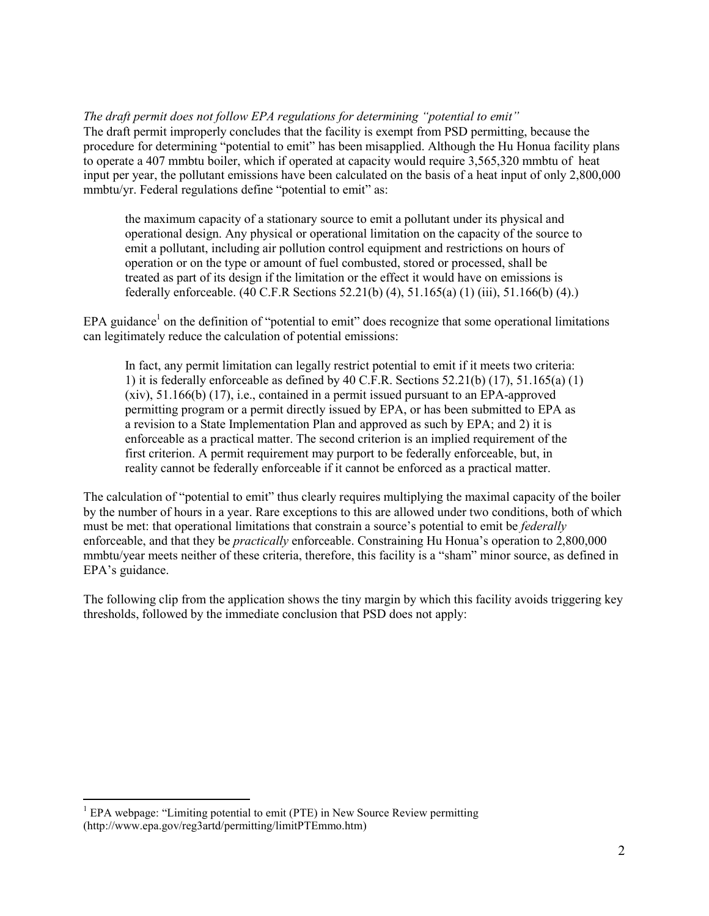*The draft permit does not follow EPA regulations for determining "potential to emit"* 

The draft permit improperly concludes that the facility is exempt from PSD permitting, because the procedure for determining "potential to emit" has been misapplied. Although the Hu Honua facility plans to operate a 407 mmbtu boiler, which if operated at capacity would require 3,565,320 mmbtu of heat input per year, the pollutant emissions have been calculated on the basis of a heat input of only 2,800,000 mmbtu/yr. Federal regulations define "potential to emit" as:

the maximum capacity of a stationary source to emit a pollutant under its physical and operational design. Any physical or operational limitation on the capacity of the source to emit a pollutant, including air pollution control equipment and restrictions on hours of operation or on the type or amount of fuel combusted, stored or processed, shall be treated as part of its design if the limitation or the effect it would have on emissions is federally enforceable. (40 C.F.R Sections 52.21(b) (4), 51.165(a) (1) (iii), 51.166(b) (4).)

EPA guidance<sup>1</sup> on the definition of "potential to emit" does recognize that some operational limitations can legitimately reduce the calculation of potential emissions:

In fact, any permit limitation can legally restrict potential to emit if it meets two criteria: 1) it is federally enforceable as defined by 40 C.F.R. Sections  $52.21(b)$  (17),  $51.165(a)$  (1) (xiv), 51.166(b) (17), i.e., contained in a permit issued pursuant to an EPA-approved permitting program or a permit directly issued by EPA, or has been submitted to EPA as a revision to a State Implementation Plan and approved as such by EPA; and 2) it is enforceable as a practical matter. The second criterion is an implied requirement of the first criterion. A permit requirement may purport to be federally enforceable, but, in reality cannot be federally enforceable if it cannot be enforced as a practical matter.

The calculation of "potential to emit" thus clearly requires multiplying the maximal capacity of the boiler by the number of hours in a year. Rare exceptions to this are allowed under two conditions, both of which must be met: that operational limitations that constrain a source's potential to emit be *federally* enforceable, and that they be *practically* enforceable. Constraining Hu Honua's operation to 2,800,000 mmbtu/year meets neither of these criteria, therefore, this facility is a "sham" minor source, as defined in EPA's guidance.

The following clip from the application shows the tiny margin by which this facility avoids triggering key thresholds, followed by the immediate conclusion that PSD does not apply:

-

<sup>&</sup>lt;sup>1</sup> EPA webpage: "Limiting potential to emit (PTE) in New Source Review permitting (http://www.epa.gov/reg3artd/permitting/limitPTEmmo.htm)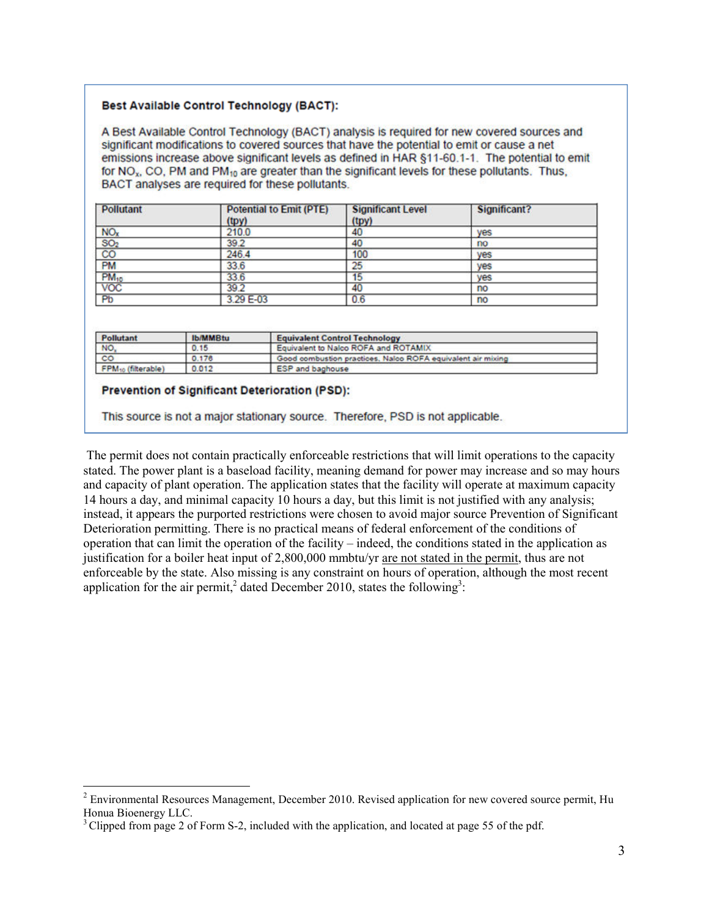#### **Best Available Control Technology (BACT):**

A Best Available Control Technology (BACT) analysis is required for new covered sources and significant modifications to covered sources that have the potential to emit or cause a net emissions increase above significant levels as defined in HAR §11-60.1-1. The potential to emit for  $NO<sub>x</sub>$ , CO, PM and PM<sub>10</sub> are greater than the significant levels for these pollutants. Thus, BACT analyses are required for these pollutants.

| Pollutant                          | <b>Potential to Emit (PTE)</b><br>(tpy) | Significant Level<br>(tpy) | Significant? |
|------------------------------------|-----------------------------------------|----------------------------|--------------|
| $\frac{NOx}{SO2}$ $\frac{CO2}{OM}$ | 210.0                                   | 40                         | ves          |
|                                    | 39.2                                    | 40                         | no           |
|                                    | 246.4                                   | 100                        | yes          |
|                                    | 33.6                                    | 25                         | yes          |
| $\frac{PM_{10}}{VOC}$              | 33.6                                    | 15                         | yes          |
|                                    | 39.2                                    | 40                         | no           |
| Pb                                 | 3.29 E-03                               | 0.6                        | no           |

| Pollutant                      | lb/MMBtu | <b>Equivalent Control Technology</b>                        |  |
|--------------------------------|----------|-------------------------------------------------------------|--|
| NO.                            | 0.15     | Equivalent to Nalco ROFA and ROTAMIX                        |  |
| $\circ$                        | 0.176    | Good combustion practices, Nalco ROFA equivalent air mixing |  |
| FPM <sub>10</sub> (filterable) | 0.012    | ESP and baghouse                                            |  |

# Prevention of Significant Deterioration (PSD):

This source is not a major stationary source. Therefore, PSD is not applicable.

 The permit does not contain practically enforceable restrictions that will limit operations to the capacity stated. The power plant is a baseload facility, meaning demand for power may increase and so may hours and capacity of plant operation. The application states that the facility will operate at maximum capacity 14 hours a day, and minimal capacity 10 hours a day, but this limit is not justified with any analysis; instead, it appears the purported restrictions were chosen to avoid major source Prevention of Significant Deterioration permitting. There is no practical means of federal enforcement of the conditions of operation that can limit the operation of the facility – indeed, the conditions stated in the application as justification for a boiler heat input of 2,800,000 mmbtu/yr are not stated in the permit, thus are not enforceable by the state. Also missing is any constraint on hours of operation, although the most recent application for the air permit,<sup>2</sup> dated December 2010, states the following<sup>3</sup>:

<sup>&</sup>lt;sup>2</sup> Environmental Resources Management, December 2010. Revised application for new covered source permit, Hu Honua Bioenergy LLC.

<sup>&</sup>lt;sup>3</sup> Clipped from page 2 of Form S-2, included with the application, and located at page 55 of the pdf.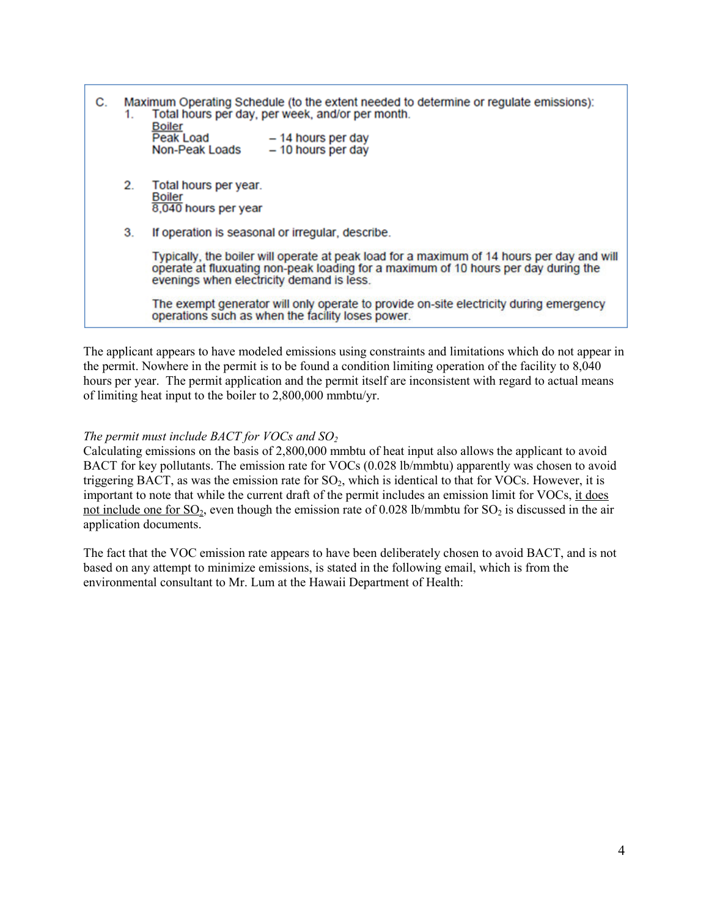| Maximum Operating Schedule (to the extent needed to determine or regulate emissions): |
|---------------------------------------------------------------------------------------|
| Total hours per day, per week, and/or per month.                                      |
| <b>Boiler</b>                                                                         |

| $  -$<br>Peak Load | 14 hours per day |
|--------------------|------------------|
| Non-Peak Loads     | 10 hours per day |

- $2.$ Total hours per year. **Boiler** 8,040 hours per year
- $3.$ If operation is seasonal or irregular, describe.

Typically, the boiler will operate at peak load for a maximum of 14 hours per day and will operate at fluxuating non-peak loading for a maximum of 10 hours per day during the evenings when electricity demand is less.

The exempt generator will only operate to provide on-site electricity during emergency operations such as when the facility loses power.

The applicant appears to have modeled emissions using constraints and limitations which do not appear in the permit. Nowhere in the permit is to be found a condition limiting operation of the facility to 8,040 hours per year. The permit application and the permit itself are inconsistent with regard to actual means of limiting heat input to the boiler to 2,800,000 mmbtu/yr.

# *The permit must include BACT for VOCs and SO<sup>2</sup>*

Calculating emissions on the basis of 2,800,000 mmbtu of heat input also allows the applicant to avoid BACT for key pollutants. The emission rate for VOCs (0.028 lb/mmbtu) apparently was chosen to avoid triggering BACT, as was the emission rate for  $SO_2$ , which is identical to that for VOCs. However, it is important to note that while the current draft of the permit includes an emission limit for VOCs, it does not include one for  $SO_2$ , even though the emission rate of 0.028 lb/mmbtu for  $SO_2$  is discussed in the air application documents.

The fact that the VOC emission rate appears to have been deliberately chosen to avoid BACT, and is not based on any attempt to minimize emissions, is stated in the following email, which is from the environmental consultant to Mr. Lum at the Hawaii Department of Health: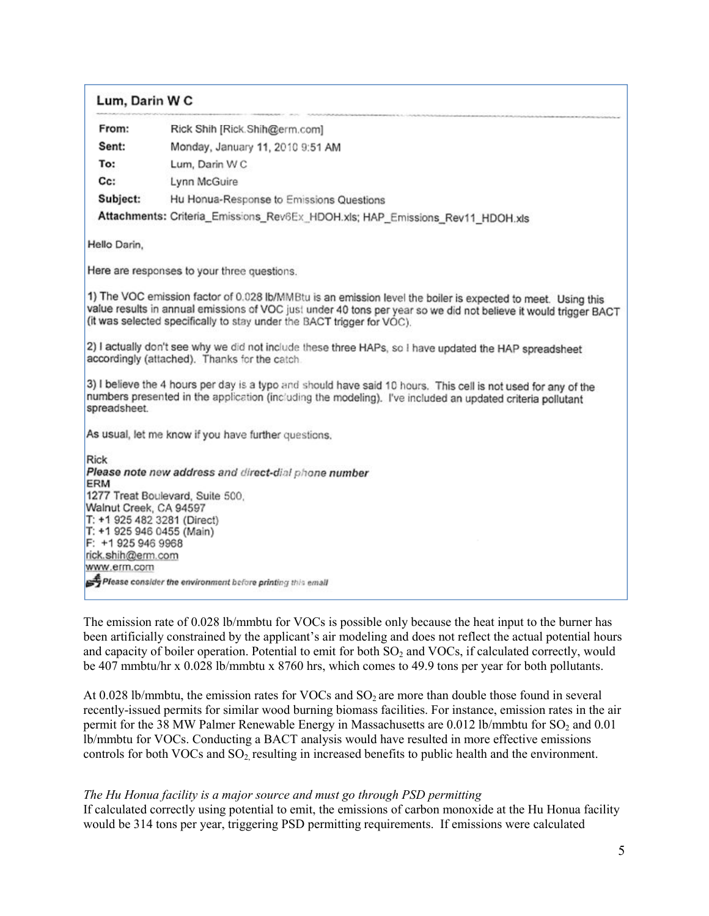| Lum, Darin WC                                                                                                                                               |                                                                                                                                                                                                                                                                                                            |
|-------------------------------------------------------------------------------------------------------------------------------------------------------------|------------------------------------------------------------------------------------------------------------------------------------------------------------------------------------------------------------------------------------------------------------------------------------------------------------|
| From:                                                                                                                                                       | Rick Shih [Rick.Shih@erm.com]                                                                                                                                                                                                                                                                              |
| Sent:                                                                                                                                                       | Monday, January 11, 2010 9:51 AM                                                                                                                                                                                                                                                                           |
| To:                                                                                                                                                         | Lum, Darin WC                                                                                                                                                                                                                                                                                              |
| $Cc$ :                                                                                                                                                      | Lynn McGuire                                                                                                                                                                                                                                                                                               |
| Subject:                                                                                                                                                    | Hu Honua-Response to Emissions Questions                                                                                                                                                                                                                                                                   |
|                                                                                                                                                             | Attachments: Criteria_Emissions_Rev6Ex_HDOH.xls; HAP_Emissions_Rev11_HDOH.xls                                                                                                                                                                                                                              |
| Hello Darin,                                                                                                                                                |                                                                                                                                                                                                                                                                                                            |
|                                                                                                                                                             | Here are responses to your three questions.                                                                                                                                                                                                                                                                |
|                                                                                                                                                             | 1) The VOC emission factor of 0.028 lb/MMBtu is an emission level the boiler is expected to meet. Using this<br>value results in annual emissions of VOC just under 40 tons per year so we did not believe it would trigger BACT<br>(it was selected specifically to stay under the BACT trigger for VOC). |
|                                                                                                                                                             | 2) I actually don't see why we did not include these three HAPs, so I have updated the HAP spreadsheet<br>accordingly (attached). Thanks for the catch.                                                                                                                                                    |
| spreadsheet.                                                                                                                                                | 3) I believe the 4 hours per day is a typo and should have said 10 hours. This cell is not used for any of the<br>numbers presented in the application (including the modeling). I've included an updated criteria pollutant                                                                               |
|                                                                                                                                                             | As usual, let me know if you have further questions.                                                                                                                                                                                                                                                       |
| Rick<br>ERM<br>Walnut Creek, CA 94597<br>T: +1 925 482 3281 (Direct)<br>T: +1 925 946 0455 (Main)<br>F: +1 925 946 9968<br>rick.shih@erm.com<br>www.erm.com | Please note new address and direct-dial phone number<br>1277 Treat Boulevard, Suite 500,                                                                                                                                                                                                                   |
|                                                                                                                                                             | Please consider the environment before printing this email                                                                                                                                                                                                                                                 |

The emission rate of 0.028 lb/mmbtu for VOCs is possible only because the heat input to the burner has been artificially constrained by the applicant's air modeling and does not reflect the actual potential hours and capacity of boiler operation. Potential to emit for both SO<sub>2</sub> and VOCs, if calculated correctly, would be 407 mmbtu/hr x 0.028 lb/mmbtu x 8760 hrs, which comes to 49.9 tons per year for both pollutants.

At  $0.028$  lb/mmbtu, the emission rates for VOCs and SO<sub>2</sub> are more than double those found in several recently-issued permits for similar wood burning biomass facilities. For instance, emission rates in the air permit for the 38 MW Palmer Renewable Energy in Massachusetts are  $0.012$  lb/mmbtu for  $SO<sub>2</sub>$  and  $0.01$ lb/mmbtu for VOCs. Conducting a BACT analysis would have resulted in more effective emissions controls for both VOCs and SO<sub>2</sub> resulting in increased benefits to public health and the environment.

#### *The Hu Honua facility is a major source and must go through PSD permitting*

If calculated correctly using potential to emit, the emissions of carbon monoxide at the Hu Honua facility would be 314 tons per year, triggering PSD permitting requirements. If emissions were calculated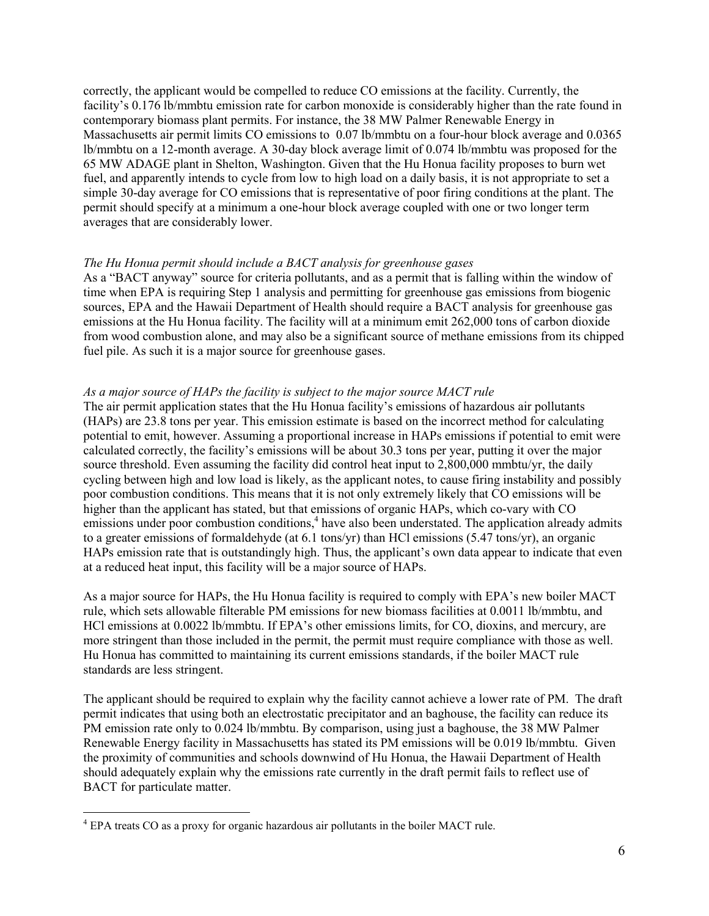correctly, the applicant would be compelled to reduce CO emissions at the facility. Currently, the facility's 0.176 lb/mmbtu emission rate for carbon monoxide is considerably higher than the rate found in contemporary biomass plant permits. For instance, the 38 MW Palmer Renewable Energy in Massachusetts air permit limits CO emissions to 0.07 lb/mmbtu on a four-hour block average and 0.0365 lb/mmbtu on a 12-month average. A 30-day block average limit of 0.074 lb/mmbtu was proposed for the 65 MW ADAGE plant in Shelton, Washington. Given that the Hu Honua facility proposes to burn wet fuel, and apparently intends to cycle from low to high load on a daily basis, it is not appropriate to set a simple 30-day average for CO emissions that is representative of poor firing conditions at the plant. The permit should specify at a minimum a one-hour block average coupled with one or two longer term averages that are considerably lower.

#### *The Hu Honua permit should include a BACT analysis for greenhouse gases*

As a "BACT anyway" source for criteria pollutants, and as a permit that is falling within the window of time when EPA is requiring Step 1 analysis and permitting for greenhouse gas emissions from biogenic sources, EPA and the Hawaii Department of Health should require a BACT analysis for greenhouse gas emissions at the Hu Honua facility. The facility will at a minimum emit 262,000 tons of carbon dioxide from wood combustion alone, and may also be a significant source of methane emissions from its chipped fuel pile. As such it is a major source for greenhouse gases.

# *As a major source of HAPs the facility is subject to the major source MACT rule*

The air permit application states that the Hu Honua facility's emissions of hazardous air pollutants (HAPs) are 23.8 tons per year. This emission estimate is based on the incorrect method for calculating potential to emit, however. Assuming a proportional increase in HAPs emissions if potential to emit were calculated correctly, the facility's emissions will be about 30.3 tons per year, putting it over the major source threshold. Even assuming the facility did control heat input to 2,800,000 mmbtu/yr, the daily cycling between high and low load is likely, as the applicant notes, to cause firing instability and possibly poor combustion conditions. This means that it is not only extremely likely that CO emissions will be higher than the applicant has stated, but that emissions of organic HAPs, which co-vary with CO emissions under poor combustion conditions,<sup>4</sup> have also been understated. The application already admits to a greater emissions of formaldehyde (at 6.1 tons/yr) than HCl emissions (5.47 tons/yr), an organic HAPs emission rate that is outstandingly high. Thus, the applicant's own data appear to indicate that even at a reduced heat input, this facility will be a major source of HAPs.

As a major source for HAPs, the Hu Honua facility is required to comply with EPA's new boiler MACT rule, which sets allowable filterable PM emissions for new biomass facilities at 0.0011 lb/mmbtu, and HCl emissions at 0.0022 lb/mmbtu. If EPA's other emissions limits, for CO, dioxins, and mercury, are more stringent than those included in the permit, the permit must require compliance with those as well. Hu Honua has committed to maintaining its current emissions standards, if the boiler MACT rule standards are less stringent.

The applicant should be required to explain why the facility cannot achieve a lower rate of PM. The draft permit indicates that using both an electrostatic precipitator and an baghouse, the facility can reduce its PM emission rate only to 0.024 lb/mmbtu. By comparison, using just a baghouse, the 38 MW Palmer Renewable Energy facility in Massachusetts has stated its PM emissions will be 0.019 lb/mmbtu. Given the proximity of communities and schools downwind of Hu Honua, the Hawaii Department of Health should adequately explain why the emissions rate currently in the draft permit fails to reflect use of BACT for particulate matter.

<u>.</u>

<sup>&</sup>lt;sup>4</sup> EPA treats CO as a proxy for organic hazardous air pollutants in the boiler MACT rule.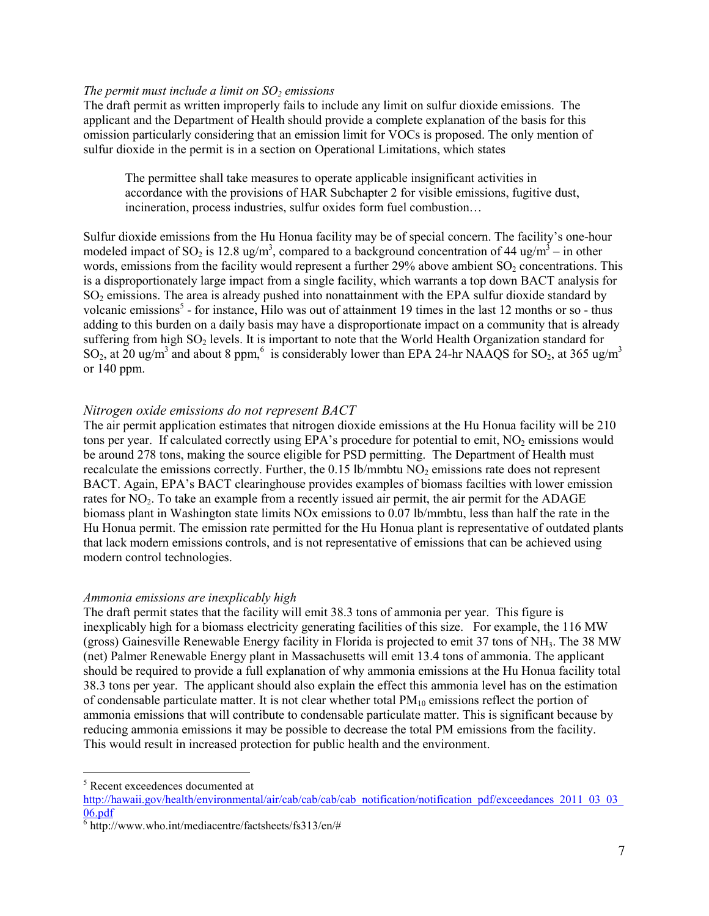#### *The permit must include a limit on SO<sub>2</sub>* emissions

The draft permit as written improperly fails to include any limit on sulfur dioxide emissions. The applicant and the Department of Health should provide a complete explanation of the basis for this omission particularly considering that an emission limit for VOCs is proposed. The only mention of sulfur dioxide in the permit is in a section on Operational Limitations, which states

The permittee shall take measures to operate applicable insignificant activities in accordance with the provisions of HAR Subchapter 2 for visible emissions, fugitive dust, incineration, process industries, sulfur oxides form fuel combustion…

Sulfur dioxide emissions from the Hu Honua facility may be of special concern. The facility's one-hour modeled impact of SO<sub>2</sub> is 12.8 ug/m<sup>3</sup>, compared to a background concentration of 44 ug/m<sup>3</sup> – in other words, emissions from the facility would represent a further  $29%$  above ambient  $SO<sub>2</sub>$  concentrations. This is a disproportionately large impact from a single facility, which warrants a top down BACT analysis for SO<sub>2</sub> emissions. The area is already pushed into nonattainment with the EPA sulfur dioxide standard by volcanic emissions<sup>5</sup> - for instance, Hilo was out of attainment 19 times in the last 12 months or so - thus adding to this burden on a daily basis may have a disproportionate impact on a community that is already suffering from high  $SO<sub>2</sub>$  levels. It is important to note that the World Health Organization standard for SO<sub>2</sub>, at 20 ug/m<sup>3</sup> and about 8 ppm,<sup>6</sup> is considerably lower than EPA 24-hr NAAQS for SO<sub>2</sub>, at 365 ug/m<sup>3</sup> or 140 ppm.

# *Nitrogen oxide emissions do not represent BACT*

The air permit application estimates that nitrogen dioxide emissions at the Hu Honua facility will be 210 tons per year. If calculated correctly using EPA's procedure for potential to emit,  $NO<sub>2</sub>$  emissions would be around 278 tons, making the source eligible for PSD permitting. The Department of Health must recalculate the emissions correctly. Further, the  $0.15$  lb/mmbtu NO<sub>2</sub> emissions rate does not represent BACT. Again, EPA's BACT clearinghouse provides examples of biomass facilties with lower emission rates for NO<sub>2</sub>. To take an example from a recently issued air permit, the air permit for the ADAGE biomass plant in Washington state limits NOx emissions to 0.07 lb/mmbtu, less than half the rate in the Hu Honua permit. The emission rate permitted for the Hu Honua plant is representative of outdated plants that lack modern emissions controls, and is not representative of emissions that can be achieved using modern control technologies.

# *Ammonia emissions are inexplicably high*

The draft permit states that the facility will emit 38.3 tons of ammonia per year. This figure is inexplicably high for a biomass electricity generating facilities of this size. For example, the 116 MW (gross) Gainesville Renewable Energy facility in Florida is projected to emit 37 tons of NH3. The 38 MW (net) Palmer Renewable Energy plant in Massachusetts will emit 13.4 tons of ammonia. The applicant should be required to provide a full explanation of why ammonia emissions at the Hu Honua facility total 38.3 tons per year. The applicant should also explain the effect this ammonia level has on the estimation of condensable particulate matter. It is not clear whether total  $PM_{10}$  emissions reflect the portion of ammonia emissions that will contribute to condensable particulate matter. This is significant because by reducing ammonia emissions it may be possible to decrease the total PM emissions from the facility. This would result in increased protection for public health and the environment.

<sup>-</sup>5 Recent exceedences documented at

http://hawaii.gov/health/environmental/air/cab/cab/cab/cab\_notification/notification\_pdf/exceedances\_2011\_03\_03\_ 06.pdf

<sup>6</sup> http://www.who.int/mediacentre/factsheets/fs313/en/#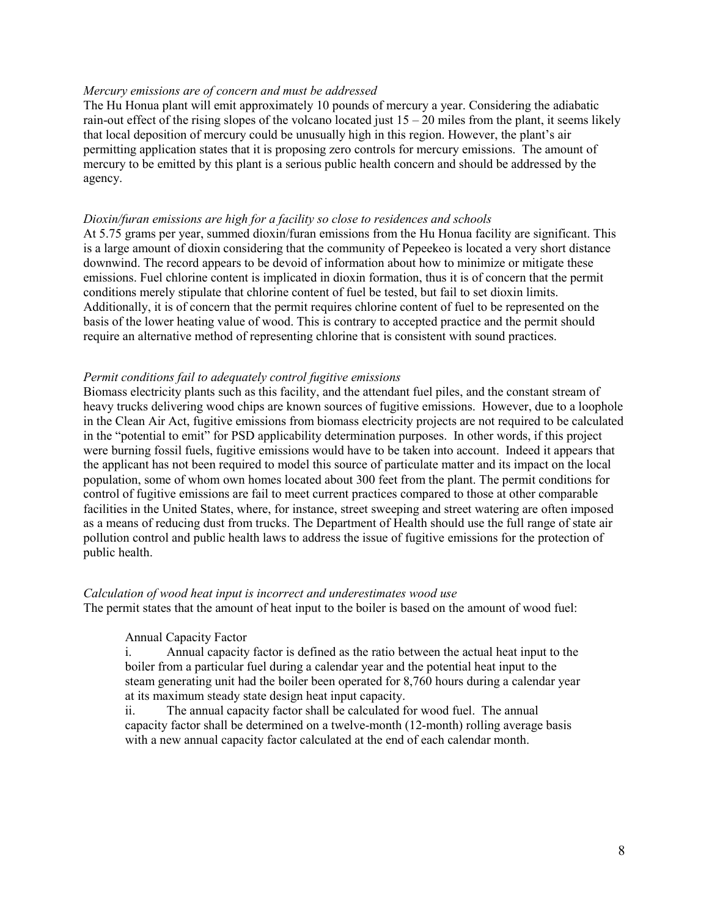#### *Mercury emissions are of concern and must be addressed*

The Hu Honua plant will emit approximately 10 pounds of mercury a year. Considering the adiabatic rain-out effect of the rising slopes of the volcano located just  $15 - 20$  miles from the plant, it seems likely that local deposition of mercury could be unusually high in this region. However, the plant's air permitting application states that it is proposing zero controls for mercury emissions. The amount of mercury to be emitted by this plant is a serious public health concern and should be addressed by the agency.

#### *Dioxin/furan emissions are high for a facility so close to residences and schools*

At 5.75 grams per year, summed dioxin/furan emissions from the Hu Honua facility are significant. This is a large amount of dioxin considering that the community of Pepeekeo is located a very short distance downwind. The record appears to be devoid of information about how to minimize or mitigate these emissions. Fuel chlorine content is implicated in dioxin formation, thus it is of concern that the permit conditions merely stipulate that chlorine content of fuel be tested, but fail to set dioxin limits. Additionally, it is of concern that the permit requires chlorine content of fuel to be represented on the basis of the lower heating value of wood. This is contrary to accepted practice and the permit should require an alternative method of representing chlorine that is consistent with sound practices.

#### *Permit conditions fail to adequately control fugitive emissions*

Biomass electricity plants such as this facility, and the attendant fuel piles, and the constant stream of heavy trucks delivering wood chips are known sources of fugitive emissions. However, due to a loophole in the Clean Air Act, fugitive emissions from biomass electricity projects are not required to be calculated in the "potential to emit" for PSD applicability determination purposes. In other words, if this project were burning fossil fuels, fugitive emissions would have to be taken into account. Indeed it appears that the applicant has not been required to model this source of particulate matter and its impact on the local population, some of whom own homes located about 300 feet from the plant. The permit conditions for control of fugitive emissions are fail to meet current practices compared to those at other comparable facilities in the United States, where, for instance, street sweeping and street watering are often imposed as a means of reducing dust from trucks. The Department of Health should use the full range of state air pollution control and public health laws to address the issue of fugitive emissions for the protection of public health.

# *Calculation of wood heat input is incorrect and underestimates wood use*  The permit states that the amount of heat input to the boiler is based on the amount of wood fuel:

#### Annual Capacity Factor

i. Annual capacity factor is defined as the ratio between the actual heat input to the boiler from a particular fuel during a calendar year and the potential heat input to the steam generating unit had the boiler been operated for 8,760 hours during a calendar year at its maximum steady state design heat input capacity.

ii. The annual capacity factor shall be calculated for wood fuel. The annual capacity factor shall be determined on a twelve-month (12-month) rolling average basis with a new annual capacity factor calculated at the end of each calendar month.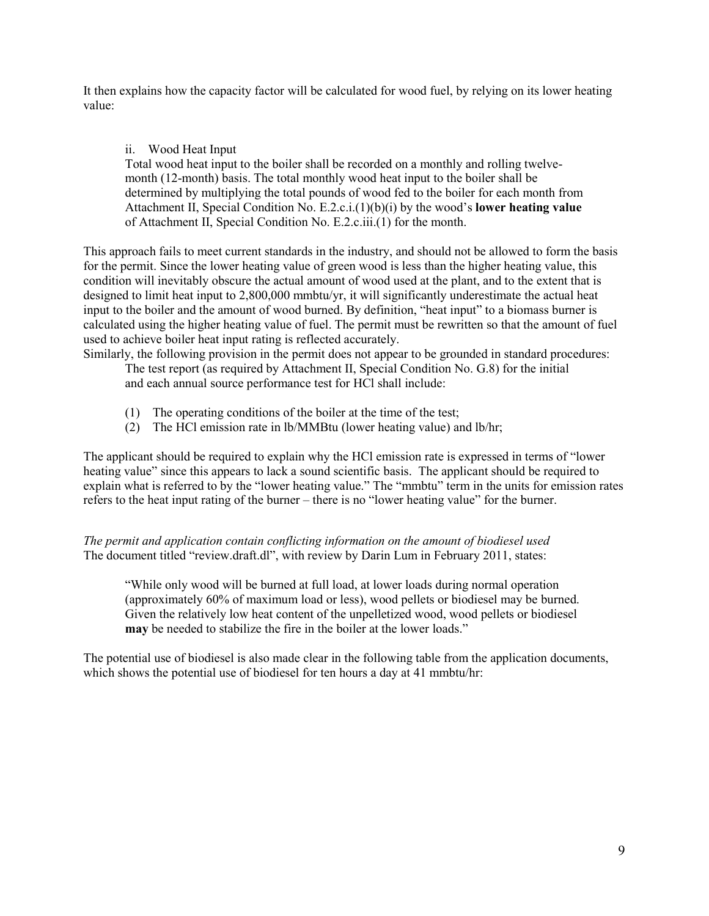It then explains how the capacity factor will be calculated for wood fuel, by relying on its lower heating value:

ii. Wood Heat Input

Total wood heat input to the boiler shall be recorded on a monthly and rolling twelvemonth (12-month) basis. The total monthly wood heat input to the boiler shall be determined by multiplying the total pounds of wood fed to the boiler for each month from Attachment II, Special Condition No. E.2.c.i.(1)(b)(i) by the wood's **lower heating value** of Attachment II, Special Condition No. E.2.c.iii.(1) for the month.

This approach fails to meet current standards in the industry, and should not be allowed to form the basis for the permit. Since the lower heating value of green wood is less than the higher heating value, this condition will inevitably obscure the actual amount of wood used at the plant, and to the extent that is designed to limit heat input to 2,800,000 mmbtu/yr, it will significantly underestimate the actual heat input to the boiler and the amount of wood burned. By definition, "heat input" to a biomass burner is calculated using the higher heating value of fuel. The permit must be rewritten so that the amount of fuel used to achieve boiler heat input rating is reflected accurately.

Similarly, the following provision in the permit does not appear to be grounded in standard procedures:

The test report (as required by Attachment II, Special Condition No. G.8) for the initial and each annual source performance test for HCl shall include:

- (1) The operating conditions of the boiler at the time of the test;
- (2) The HCl emission rate in lb/MMBtu (lower heating value) and lb/hr;

The applicant should be required to explain why the HCl emission rate is expressed in terms of "lower heating value" since this appears to lack a sound scientific basis. The applicant should be required to explain what is referred to by the "lower heating value." The "mmbtu" term in the units for emission rates refers to the heat input rating of the burner – there is no "lower heating value" for the burner.

*The permit and application contain conflicting information on the amount of biodiesel used*  The document titled "review.draft.dl", with review by Darin Lum in February 2011, states:

"While only wood will be burned at full load, at lower loads during normal operation (approximately 60% of maximum load or less), wood pellets or biodiesel may be burned. Given the relatively low heat content of the unpelletized wood, wood pellets or biodiesel **may** be needed to stabilize the fire in the boiler at the lower loads."

The potential use of biodiesel is also made clear in the following table from the application documents, which shows the potential use of biodiesel for ten hours a day at 41 mmbtu/hr: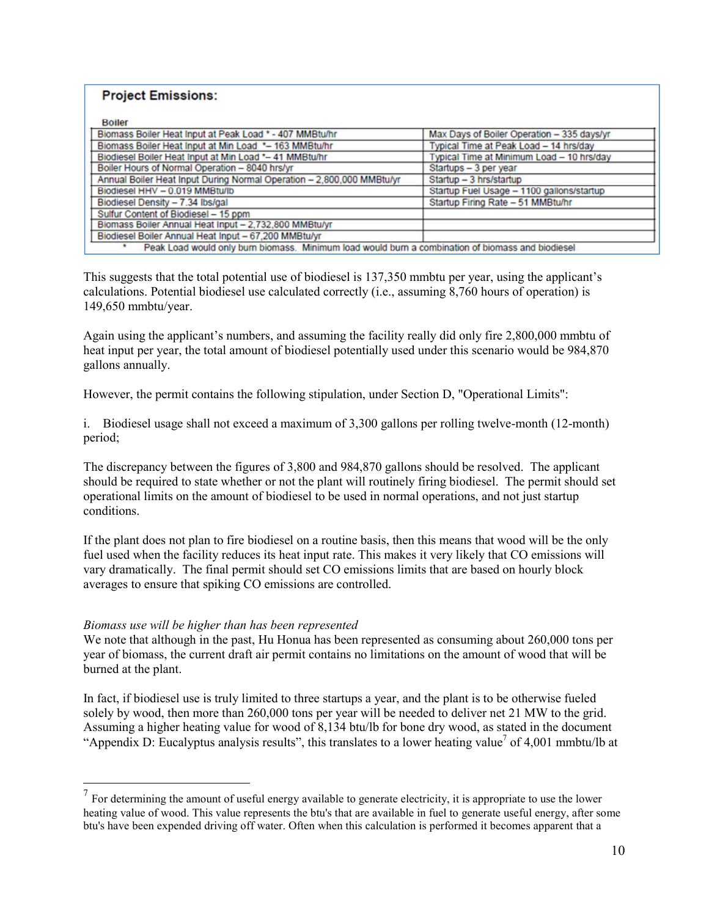# **Project Emissions:**

| <b>Boiler</b>                                                                                     |                                            |
|---------------------------------------------------------------------------------------------------|--------------------------------------------|
| Biomass Boiler Heat Input at Peak Load * - 407 MMBtu/hr                                           | Max Days of Boiler Operation - 335 days/yr |
| Biomass Boiler Heat Input at Min Load *- 163 MMBtu/hr                                             | Typical Time at Peak Load - 14 hrs/day     |
| Biodiesel Boiler Heat Input at Min Load *- 41 MMBtu/hr                                            | Typical Time at Minimum Load - 10 hrs/day  |
| Boiler Hours of Normal Operation - 8040 hrs/yr                                                    | Startups - 3 per year                      |
| Annual Boiler Heat Input During Normal Operation - 2,800,000 MMBtu/yr                             | Startup - 3 hrs/startup                    |
| Biodiesel HHV - 0.019 MMBtu/lb                                                                    | Startup Fuel Usage - 1100 gallons/startup  |
| Biodiesel Density - 7.34 lbs/gal                                                                  | Startup Firing Rate - 51 MMBtu/hr          |
| Sulfur Content of Biodiesel - 15 ppm                                                              |                                            |
| Biomass Boiler Annual Heat Input - 2,732,800 MMBtu/yr                                             |                                            |
| Biodiesel Boiler Annual Heat Input - 67,200 MMBtu/yr                                              |                                            |
| Peak Load would only burn biomass. Minimum load would burn a combination of biomass and biodiesel |                                            |

This suggests that the total potential use of biodiesel is 137,350 mmbtu per year, using the applicant's calculations. Potential biodiesel use calculated correctly (i.e., assuming 8,760 hours of operation) is 149,650 mmbtu/year.

Again using the applicant's numbers, and assuming the facility really did only fire 2,800,000 mmbtu of heat input per year, the total amount of biodiesel potentially used under this scenario would be 984,870 gallons annually.

However, the permit contains the following stipulation, under Section D, "Operational Limits":

i. Biodiesel usage shall not exceed a maximum of 3,300 gallons per rolling twelve-month (12-month) period;

The discrepancy between the figures of 3,800 and 984,870 gallons should be resolved. The applicant should be required to state whether or not the plant will routinely firing biodiesel. The permit should set operational limits on the amount of biodiesel to be used in normal operations, and not just startup conditions.

If the plant does not plan to fire biodiesel on a routine basis, then this means that wood will be the only fuel used when the facility reduces its heat input rate. This makes it very likely that CO emissions will vary dramatically. The final permit should set CO emissions limits that are based on hourly block averages to ensure that spiking CO emissions are controlled.

# *Biomass use will be higher than has been represented*

We note that although in the past, Hu Honua has been represented as consuming about 260,000 tons per year of biomass, the current draft air permit contains no limitations on the amount of wood that will be burned at the plant.

In fact, if biodiesel use is truly limited to three startups a year, and the plant is to be otherwise fueled solely by wood, then more than 260,000 tons per year will be needed to deliver net 21 MW to the grid. Assuming a higher heating value for wood of 8,134 btu/lb for bone dry wood, as stated in the document "Appendix D: Eucalyptus analysis results", this translates to a lower heating value<sup>7</sup> of 4,001 mmbtu/lb at

 $\overline{a}$  For determining the amount of useful energy available to generate electricity, it is appropriate to use the lower heating value of wood. This value represents the btu's that are available in fuel to generate useful energy, after some btu's have been expended driving off water. Often when this calculation is performed it becomes apparent that a